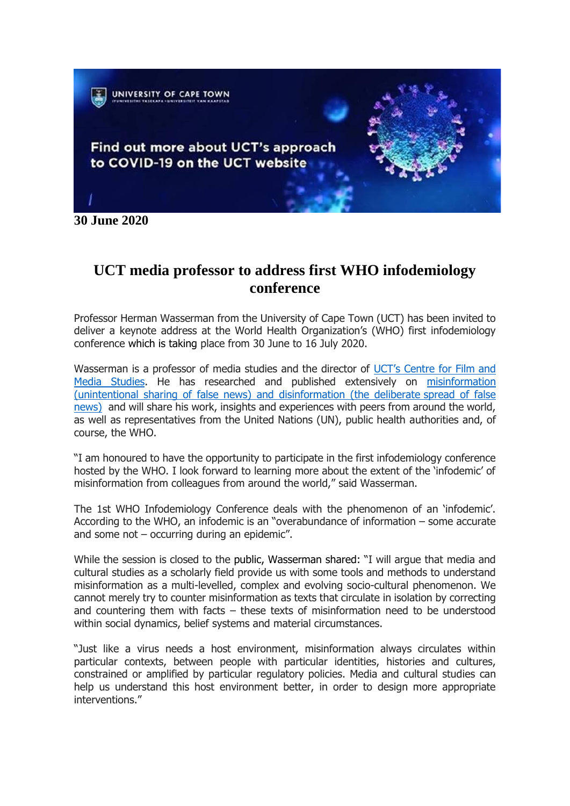

**30 June 2020**

## **UCT media professor to address first WHO infodemiology conference**

Professor Herman Wasserman from the University of Cape Town (UCT) has been invited to deliver a keynote address at the World Health Organization's (WHO) first infodemiology conference which is taking place from 30 June to 16 July 2020.

Wasserman is a professor of media studies and the director of [UCT's Centre for Film and](http://www.cfms.uct.ac.za/)  [Media Studies.](http://www.cfms.uct.ac.za/) He has researched and published extensively on [misinformation](https://en.unesco.org/fightfakenews)  [\(unintentional sharing of false news\) and disinformation \(the deliberate](https://en.unesco.org/fightfakenews) spread of false [news\)](https://en.unesco.org/fightfakenews) and will share his work, insights and experiences with peers from around the world, as well as representatives from the United Nations (UN), public health authorities and, of course, the WHO.

"I am honoured to have the opportunity to participate in the first infodemiology conference hosted by the WHO. I look forward to learning more about the extent of the 'infodemic' of misinformation from colleagues from around the world," said Wasserman.

The 1st WHO Infodemiology Conference deals with the phenomenon of an 'infodemic'. According to the WHO, an infodemic is an "overabundance of information – some accurate and some not – occurring during an epidemic".

While the session is closed to the public, Wasserman shared: "I will argue that media and cultural studies as a scholarly field provide us with some tools and methods to understand misinformation as a multi-levelled, complex and evolving socio-cultural phenomenon. We cannot merely try to counter misinformation as texts that circulate in isolation by correcting and countering them with facts – these texts of misinformation need to be understood within social dynamics, belief systems and material circumstances.

"Just like a virus needs a host environment, misinformation always circulates within particular contexts, between people with particular identities, histories and cultures, constrained or amplified by particular regulatory policies. Media and cultural studies can help us understand this host environment better, in order to design more appropriate interventions."